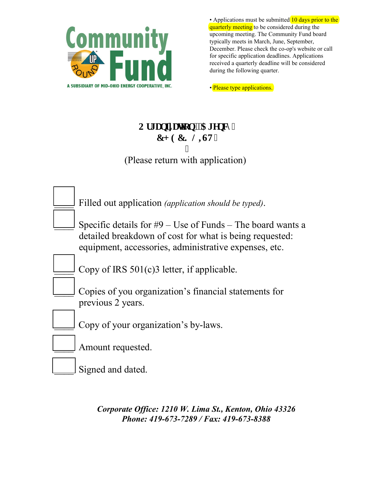

• Applications must be submitted 10 days prior to the quarterly meeting to be considered during the upcoming meeting. The Community Fund board typically meets in March, June, September, December. Please check the co-op's website or call for specific application deadlines. Applications received a quarterly deadline will be considered during the following quarter.

• Please type applications.

## Qti cpk cwqp'I'Ci gpe{" **EJ GEMNKV"** I

(Please return with application)

| Filled out application <i>(application should be typed)</i> .                                                                                                                    |
|----------------------------------------------------------------------------------------------------------------------------------------------------------------------------------|
| Specific details for $#9 -$ Use of Funds – The board wants a<br>detailed breakdown of cost for what is being requested:<br>equipment, accessories, administrative expenses, etc. |
| Copy of IRS $501(c)$ 3 letter, if applicable.                                                                                                                                    |
| Copies of you organization's financial statements for<br>previous 2 years.                                                                                                       |
| Copy of your organization's by-laws.                                                                                                                                             |
| Amount requested.                                                                                                                                                                |
| Signed and dated.                                                                                                                                                                |

*Corporate Office: 1210 W. Lima St., Kenton, Ohio 43326 Phone: 419-673-7289 / Fax: 419-673-8388*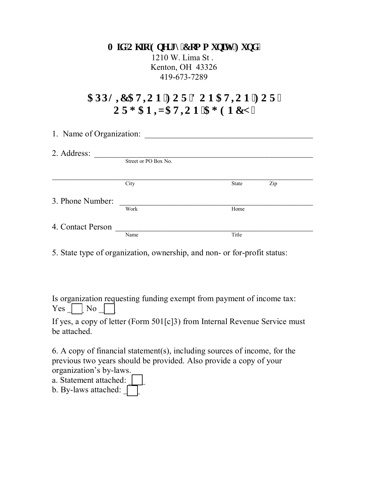**O If 'Qj kq'Gpgti** { 'Eqo o wplx{ 'Hwpf'' 1210 W. Lima St . Kenton, OH 43326 419-673-7289

## **CRRNIE CVIQP 'HQT'F QP CVIQP 'HQT'' 25 QTI CPK CVKQPICI GPE[ "**

| 1. Name of Organization: |                      |              |     |  |  |  |
|--------------------------|----------------------|--------------|-----|--|--|--|
| 2. Address:              |                      |              |     |  |  |  |
|                          | Street or PO Box No. |              |     |  |  |  |
|                          | City                 | <b>State</b> | Zip |  |  |  |
| 3. Phone Number:         |                      |              |     |  |  |  |
|                          | Work                 | Home         |     |  |  |  |
| 4. Contact Person        |                      |              |     |  |  |  |
|                          | Name                 | Title        |     |  |  |  |

5. State type of organization, ownership, and non- or for-profit status:

Is organization requesting funding exempt from payment of income tax:  $Yes \frown No$ 

If yes, a copy of letter (Form 501[c]3) from Internal Revenue Service must be attached.

6. A copy of financial statement(s), including sources of income, for the previous two years should be provided. Also provide a copy of your organization's by-laws.

a. Statement attached:

b. By-laws attached: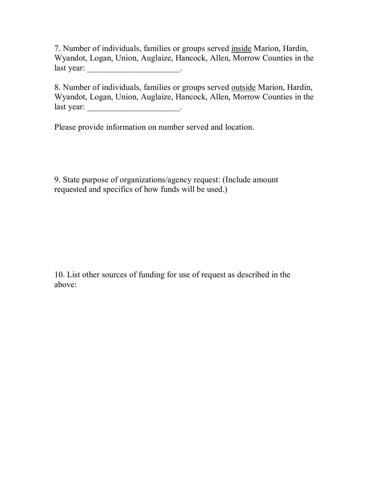7. Number of individuals, families or groups served inside Marion, Hardin, Wyandot, Logan, Union, Auglaize, Hancock, Allen, Morrow Counties in the last year: \_\_\_\_\_\_\_\_\_\_\_\_\_\_\_\_\_\_\_\_\_\_\_\_\_\_\_\_\_\_\_\_.

8. Number of individuals, families or groups served outside Marion, Hardin, Wyandot, Logan, Union, Auglaize, Hancock, Allen, Morrow Counties in the last year: \_\_\_\_\_\_\_\_\_\_\_\_\_\_\_\_\_\_\_\_\_\_.

Please provide information on number served and location.

9. State purpose of organizations/agency request: (Include amount requested and specifics of how funds will be used.)

10. List other sources of funding for use of request as described in the above: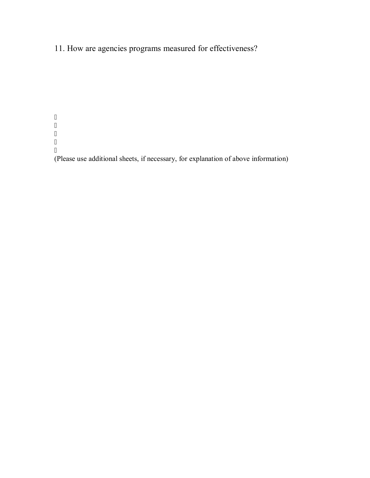11. How are agencies programs measured for effectiveness?

 $\mathbf{u}$  $\bar{\mathbf{u}}$  $\bar{\mathbf{u}}$  $\bar{\mathbf{u}}$  $\bar{\mathbf{u}}$ 

(Please use additional sheets, if necessary, for explanation of above information)